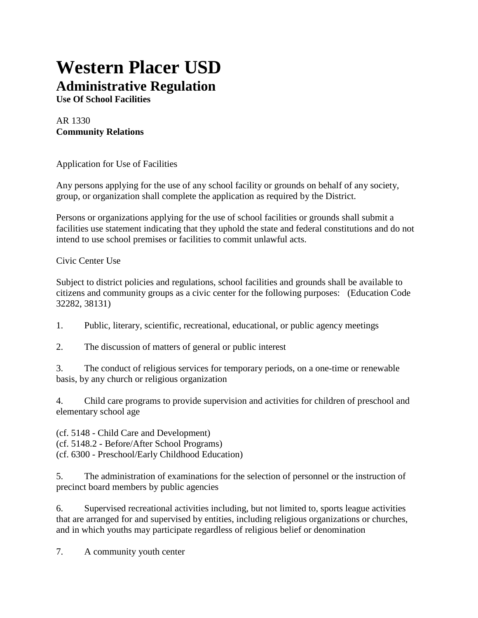## **Western Placer USD Administrative Regulation**

**Use Of School Facilities**

## AR 1330 **Community Relations**

Application for Use of Facilities

Any persons applying for the use of any school facility or grounds on behalf of any society, group, or organization shall complete the application as required by the District.

Persons or organizations applying for the use of school facilities or grounds shall submit a facilities use statement indicating that they uphold the state and federal constitutions and do not intend to use school premises or facilities to commit unlawful acts.

Civic Center Use

Subject to district policies and regulations, school facilities and grounds shall be available to citizens and community groups as a civic center for the following purposes: (Education Code 32282, 38131)

1. Public, literary, scientific, recreational, educational, or public agency meetings

2. The discussion of matters of general or public interest

3. The conduct of religious services for temporary periods, on a one-time or renewable basis, by any church or religious organization

4. Child care programs to provide supervision and activities for children of preschool and elementary school age

(cf. 5148 - Child Care and Development) (cf. 5148.2 - Before/After School Programs) (cf. 6300 - Preschool/Early Childhood Education)

5. The administration of examinations for the selection of personnel or the instruction of precinct board members by public agencies

6. Supervised recreational activities including, but not limited to, sports league activities that are arranged for and supervised by entities, including religious organizations or churches, and in which youths may participate regardless of religious belief or denomination

7. A community youth center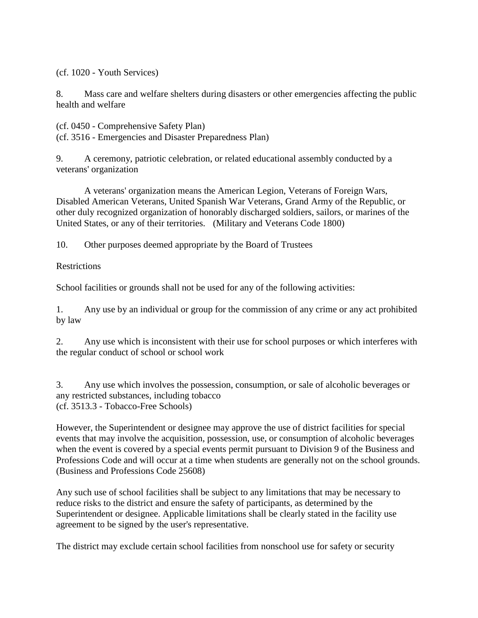(cf. 1020 - Youth Services)

8. Mass care and welfare shelters during disasters or other emergencies affecting the public health and welfare

(cf. 0450 - Comprehensive Safety Plan) (cf. 3516 - Emergencies and Disaster Preparedness Plan)

9. A ceremony, patriotic celebration, or related educational assembly conducted by a veterans' organization

A veterans' organization means the American Legion, Veterans of Foreign Wars, Disabled American Veterans, United Spanish War Veterans, Grand Army of the Republic, or other duly recognized organization of honorably discharged soldiers, sailors, or marines of the United States, or any of their territories. (Military and Veterans Code 1800)

10. Other purposes deemed appropriate by the Board of Trustees

**Restrictions** 

School facilities or grounds shall not be used for any of the following activities:

1. Any use by an individual or group for the commission of any crime or any act prohibited by law

2. Any use which is inconsistent with their use for school purposes or which interferes with the regular conduct of school or school work

3. Any use which involves the possession, consumption, or sale of alcoholic beverages or any restricted substances, including tobacco (cf. 3513.3 - Tobacco-Free Schools)

However, the Superintendent or designee may approve the use of district facilities for special events that may involve the acquisition, possession, use, or consumption of alcoholic beverages when the event is covered by a special events permit pursuant to Division 9 of the Business and Professions Code and will occur at a time when students are generally not on the school grounds. (Business and Professions Code 25608)

Any such use of school facilities shall be subject to any limitations that may be necessary to reduce risks to the district and ensure the safety of participants, as determined by the Superintendent or designee. Applicable limitations shall be clearly stated in the facility use agreement to be signed by the user's representative.

The district may exclude certain school facilities from nonschool use for safety or security